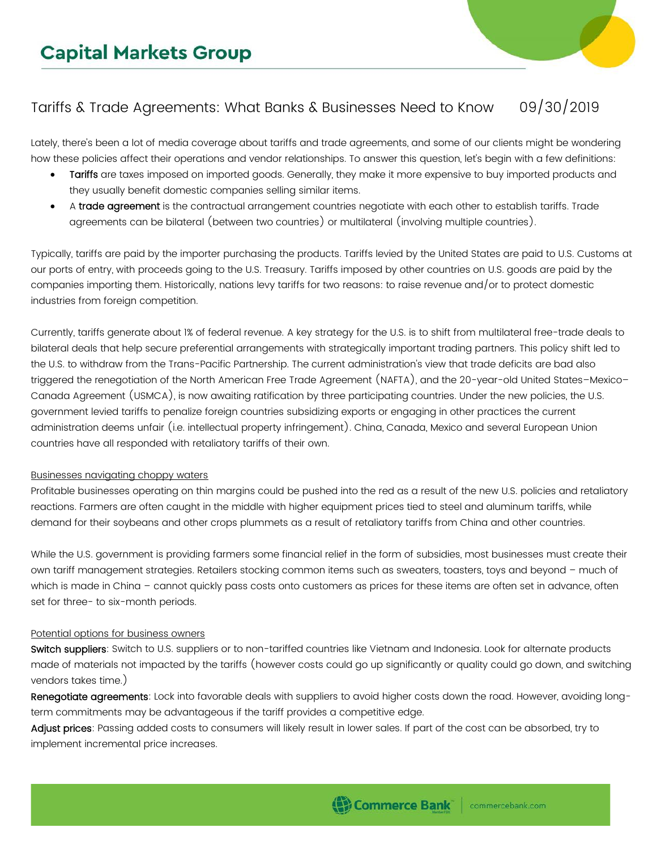## Tariffs & Trade Agreements: What Banks & Businesses Need to Know 09/30/2019

Lately, there's been a lot of media coverage about tariffs and trade agreements, and some of our clients might be wondering how these policies affect their operations and vendor relationships. To answer this question, let's begin with a few definitions:

- Tariffs are taxes imposed on imported goods. Generally, they make it more expensive to buy imported products and they usually benefit domestic companies selling similar items.
- A trade agreement is the contractual arrangement countries negotiate with each other to establish tariffs. Trade agreements can be bilateral (between two countries) or multilateral (involving multiple countries).

Typically, tariffs are paid by the importer purchasing the products. Tariffs levied by the United States are paid to U.S. Customs at our ports of entry, with proceeds going to the U.S. Treasury. Tariffs imposed by other countries on U.S. goods are paid by the companies importing them. Historically, nations levy tariffs for two reasons: to raise revenue and/or to protect domestic industries from foreign competition.

Currently, tariffs generate about 1% of federal revenue. A key strategy for the U.S. is to shift from multilateral free-trade deals to bilateral deals that help secure preferential arrangements with strategically important trading partners. This policy shift led to the U.S. to withdraw from the Trans-Pacific Partnership. The current administration's view that trade deficits are bad also triggered the renegotiation of the North American Free Trade Agreement (NAFTA), and the 20-year-old United States–Mexico– Canada Agreement (USMCA), is now awaiting ratification by three participating countries. Under the new policies, the U.S. government levied tariffs to penalize foreign countries subsidizing exports or engaging in other practices the current administration deems unfair (i.e. intellectual property infringement). China, Canada, Mexico and several European Union countries have all responded with retaliatory tariffs of their own.

## Businesses navigating choppy waters

Profitable businesses operating on thin margins could be pushed into the red as a result of the new U.S. policies and retaliatory reactions. Farmers are often caught in the middle with higher equipment prices tied to steel and aluminum tariffs, while demand for their soybeans and other crops plummets as a result of retaliatory tariffs from China and other countries.

While the U.S. government is providing farmers some financial relief in the form of subsidies, most businesses must create their own tariff management strategies. Retailers stocking common items such as sweaters, toasters, toys and beyond – much of which is made in China – cannot quickly pass costs onto customers as prices for these items are often set in advance, often set for three- to six-month periods.

## Potential options for business owners

Switch suppliers: Switch to U.S. suppliers or to non-tariffed countries like Vietnam and Indonesia. Look for alternate products made of materials not impacted by the tariffs (however costs could go up significantly or quality could go down, and switching vendors takes time.)

Renegotiate agreements: Lock into favorable deals with suppliers to avoid higher costs down the road. However, avoiding longterm commitments may be advantageous if the tariff provides a competitive edge.

Adjust prices: Passing added costs to consumers will likely result in lower sales. If part of the cost can be absorbed, try to implement incremental price increases.